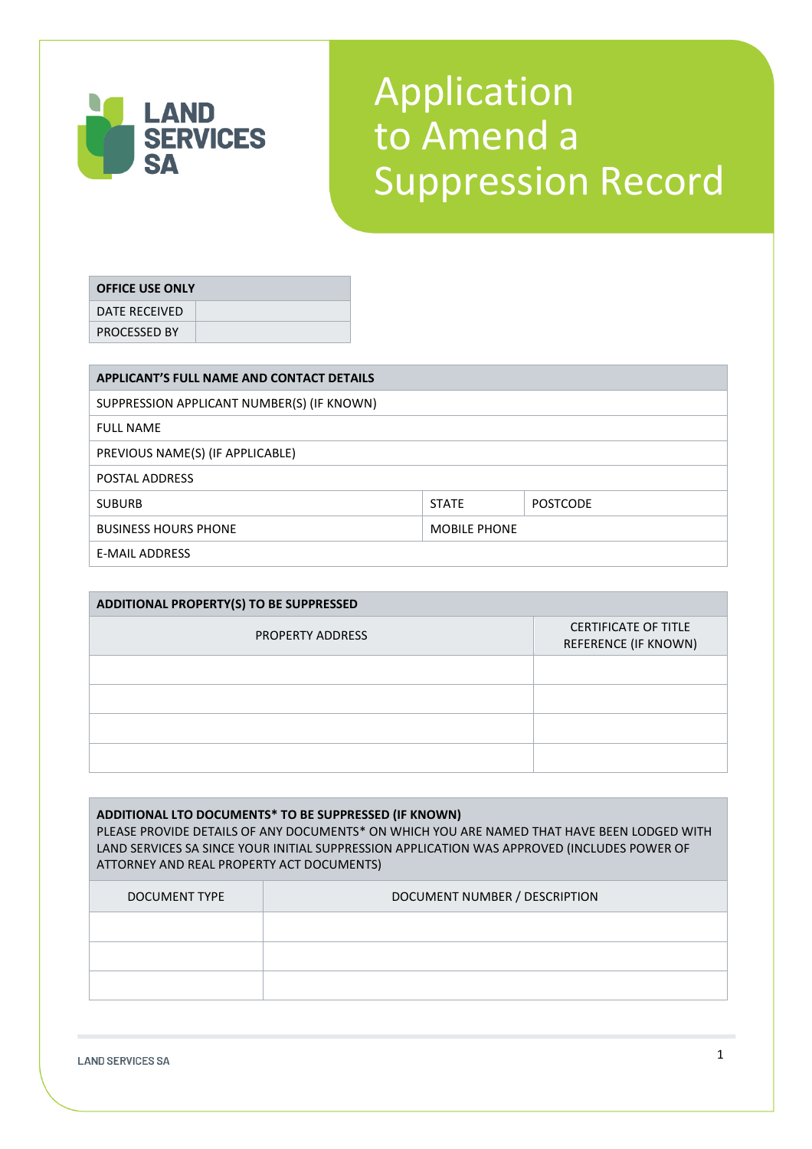

## Application to Amend a Suppression Record

## **OFFICE USE ONLY**

DATE RECEIVED PROCESSED BY

**APPLICANT'S FULL NAME AND CONTACT DETAILS** SUPPRESSION APPLICANT NUMBER(S) (IF KNOWN) FULL NAME PREVIOUS NAME(S) (IF APPLICABLE) POSTAL ADDRESS SUBURB STATE POSTCODE BUSINESS HOURS PHONE MOBILE PHONE E-MAIL ADDRESS

| <b>ADDITIONAL PROPERTY(S) TO BE SUPPRESSED</b> |                                                     |  |  |  |
|------------------------------------------------|-----------------------------------------------------|--|--|--|
| <b>PROPERTY ADDRESS</b>                        | <b>CERTIFICATE OF TITLE</b><br>REFERENCE (IF KNOWN) |  |  |  |
|                                                |                                                     |  |  |  |
|                                                |                                                     |  |  |  |
|                                                |                                                     |  |  |  |
|                                                |                                                     |  |  |  |

**ADDITIONAL LTO DOCUMENTS\* TO BE SUPPRESSED (IF KNOWN)** PLEASE PROVIDE DETAILS OF ANY DOCUMENTS\* ON WHICH YOU ARE NAMED THAT HAVE BEEN LODGED WITH LAND SERVICES SA SINCE YOUR INITIAL SUPPRESSION APPLICATION WAS APPROVED (INCLUDES POWER OF ATTORNEY AND REAL PROPERTY ACT DOCUMENTS) DOCUMENT TYPE **DOCUMENT NUMBER** / DESCRIPTION